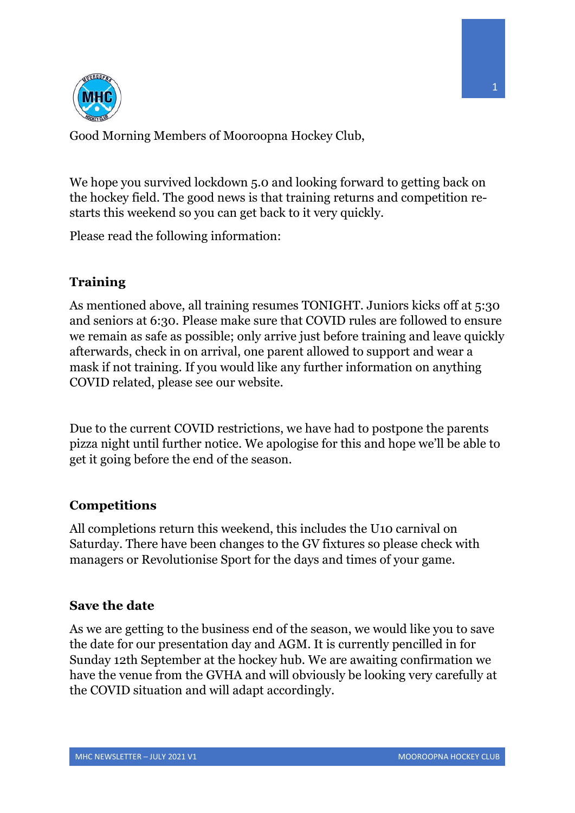

Good Morning Members of Mooroopna Hockey Club,

We hope you survived lockdown 5.0 and looking forward to getting back on the hockey field. The good news is that training returns and competition restarts this weekend so you can get back to it very quickly.

Please read the following information:

## **Training**

As mentioned above, all training resumes TONIGHT. Juniors kicks off at 5:30 and seniors at 6:30. Please make sure that COVID rules are followed to ensure we remain as safe as possible; only arrive just before training and leave quickly afterwards, check in on arrival, one parent allowed to support and wear a mask if not training. If you would like any further information on anything COVID related, please see our website.

Due to the current COVID restrictions, we have had to postpone the parents pizza night until further notice. We apologise for this and hope we'll be able to get it going before the end of the season.

## **Competitions**

All completions return this weekend, this includes the U10 carnival on Saturday. There have been changes to the GV fixtures so please check with managers or Revolutionise Sport for the days and times of your game.

## **Save the date**

As we are getting to the business end of the season, we would like you to save the date for our presentation day and AGM. It is currently pencilled in for Sunday 12th September at the hockey hub. We are awaiting confirmation we have the venue from the GVHA and will obviously be looking very carefully at the COVID situation and will adapt accordingly.